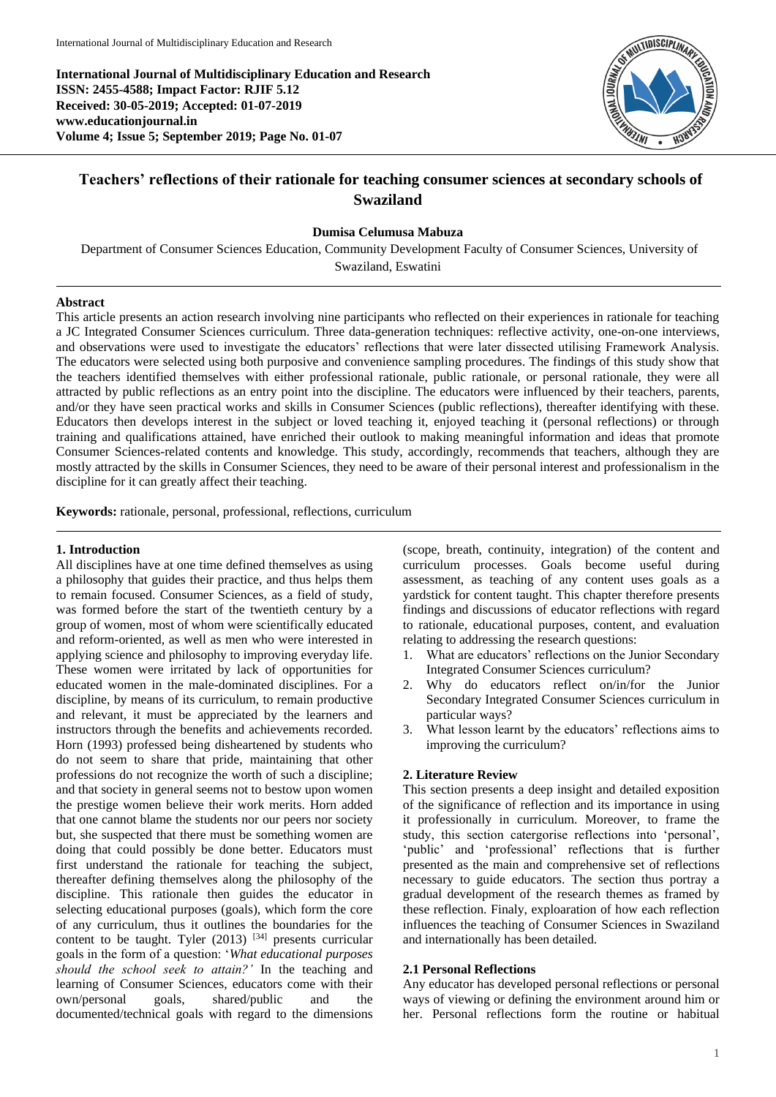**International Journal of Multidisciplinary Education and Research ISSN: 2455-4588; Impact Factor: RJIF 5.12 Received: 30-05-2019; Accepted: 01-07-2019 www.educationjournal.in Volume 4; Issue 5; September 2019; Page No. 01-07**



# **Teachers' reflections of their rationale for teaching consumer sciences at secondary schools of Swaziland**

#### **Dumisa Celumusa Mabuza**

Department of Consumer Sciences Education, Community Development Faculty of Consumer Sciences, University of Swaziland, Eswatini

#### **Abstract**

This article presents an action research involving nine participants who reflected on their experiences in rationale for teaching a JC Integrated Consumer Sciences curriculum. Three data-generation techniques: reflective activity, one-on-one interviews, and observations were used to investigate the educators' reflections that were later dissected utilising Framework Analysis. The educators were selected using both purposive and convenience sampling procedures. The findings of this study show that the teachers identified themselves with either professional rationale, public rationale, or personal rationale, they were all attracted by public reflections as an entry point into the discipline. The educators were influenced by their teachers, parents, and/or they have seen practical works and skills in Consumer Sciences (public reflections), thereafter identifying with these. Educators then develops interest in the subject or loved teaching it, enjoyed teaching it (personal reflections) or through training and qualifications attained, have enriched their outlook to making meaningful information and ideas that promote Consumer Sciences-related contents and knowledge. This study, accordingly, recommends that teachers, although they are mostly attracted by the skills in Consumer Sciences, they need to be aware of their personal interest and professionalism in the discipline for it can greatly affect their teaching.

**Keywords:** rationale, personal, professional, reflections, curriculum

### **1. Introduction**

All disciplines have at one time defined themselves as using a philosophy that guides their practice, and thus helps them to remain focused. Consumer Sciences, as a field of study, was formed before the start of the twentieth century by a group of women, most of whom were scientifically educated and reform-oriented, as well as men who were interested in applying science and philosophy to improving everyday life. These women were irritated by lack of opportunities for educated women in the male-dominated disciplines. For a discipline, by means of its curriculum, to remain productive and relevant, it must be appreciated by the learners and instructors through the benefits and achievements recorded. Horn (1993) professed being disheartened by students who do not seem to share that pride, maintaining that other professions do not recognize the worth of such a discipline; and that society in general seems not to bestow upon women the prestige women believe their work merits. Horn added that one cannot blame the students nor our peers nor society but, she suspected that there must be something women are doing that could possibly be done better. Educators must first understand the rationale for teaching the subject, thereafter defining themselves along the philosophy of the discipline. This rationale then guides the educator in selecting educational purposes (goals), which form the core of any curriculum, thus it outlines the boundaries for the content to be taught. Tyler  $(2013)$  <sup>[34]</sup> presents curricular goals in the form of a question: '*What educational purposes should the school seek to attain?'* In the teaching and learning of Consumer Sciences, educators come with their own/personal goals, shared/public and the documented/technical goals with regard to the dimensions

(scope, breath, continuity, integration) of the content and curriculum processes. Goals become useful during assessment, as teaching of any content uses goals as a yardstick for content taught. This chapter therefore presents findings and discussions of educator reflections with regard to rationale, educational purposes, content, and evaluation relating to addressing the research questions:

- 1. What are educators' reflections on the Junior Secondary Integrated Consumer Sciences curriculum?
- 2. Why do educators reflect on/in/for the Junior Secondary Integrated Consumer Sciences curriculum in particular ways?
- 3. What lesson learnt by the educators' reflections aims to improving the curriculum?

### **2. Literature Review**

This section presents a deep insight and detailed exposition of the significance of reflection and its importance in using it professionally in curriculum. Moreover, to frame the study, this section catergorise reflections into 'personal', 'public' and 'professional' reflections that is further presented as the main and comprehensive set of reflections necessary to guide educators. The section thus portray a gradual development of the research themes as framed by these reflection. Finaly, exploaration of how each reflection influences the teaching of Consumer Sciences in Swaziland and internationally has been detailed.

### **2.1 Personal Reflections**

Any educator has developed personal reflections or personal ways of viewing or defining the environment around him or her. Personal reflections form the routine or habitual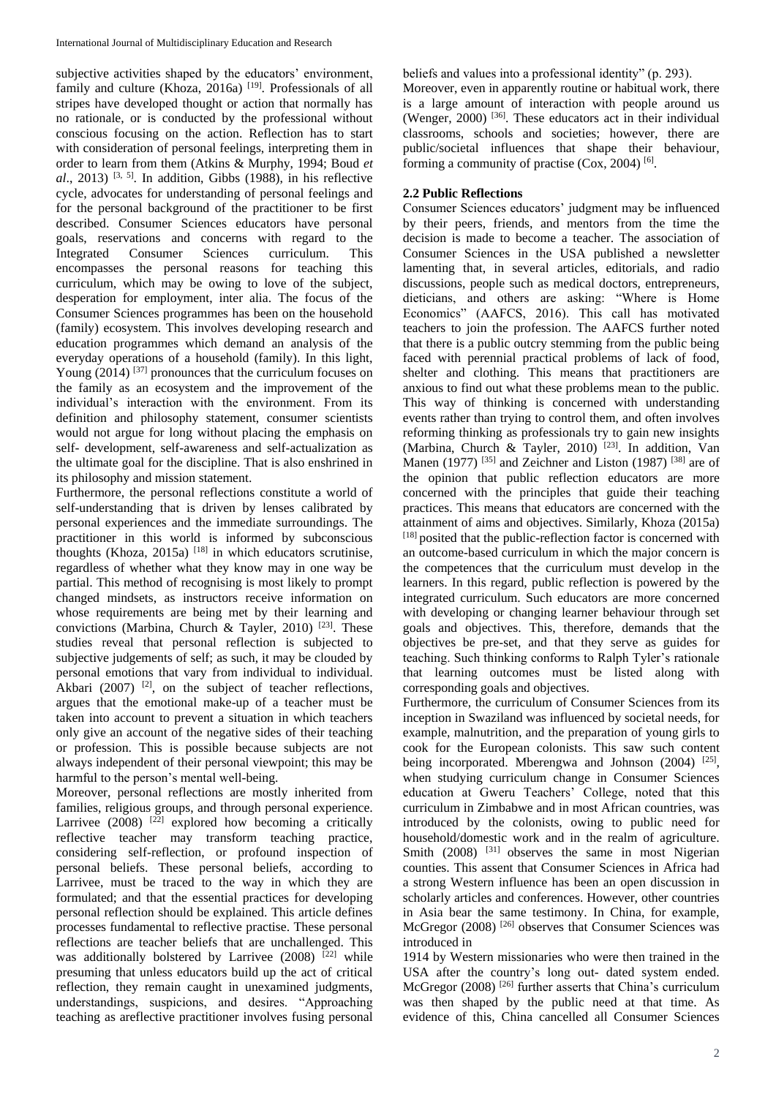subjective activities shaped by the educators' environment, family and culture (Khoza, 2016a)<sup>[19]</sup>. Professionals of all stripes have developed thought or action that normally has no rationale, or is conducted by the professional without conscious focusing on the action. Reflection has to start with consideration of personal feelings, interpreting them in order to learn from them (Atkins & Murphy, 1994; Boud *et*   $al$ , 2013) <sup>[3, 5]</sup>. In addition, Gibbs (1988), in his reflective cycle, advocates for understanding of personal feelings and for the personal background of the practitioner to be first described. Consumer Sciences educators have personal goals, reservations and concerns with regard to the Integrated Consumer Sciences curriculum. This encompasses the personal reasons for teaching this curriculum, which may be owing to love of the subject, desperation for employment, inter alia. The focus of the Consumer Sciences programmes has been on the household (family) ecosystem. This involves developing research and education programmes which demand an analysis of the everyday operations of a household (family). In this light, Young  $(2014)$  <sup>[37]</sup> pronounces that the curriculum focuses on the family as an ecosystem and the improvement of the individual's interaction with the environment. From its definition and philosophy statement, consumer scientists would not argue for long without placing the emphasis on self- development, self-awareness and self-actualization as the ultimate goal for the discipline. That is also enshrined in its philosophy and mission statement.

Furthermore, the personal reflections constitute a world of self-understanding that is driven by lenses calibrated by personal experiences and the immediate surroundings. The practitioner in this world is informed by subconscious thoughts (Khoza, 2015a)  $[18]$  in which educators scrutinise, regardless of whether what they know may in one way be partial. This method of recognising is most likely to prompt changed mindsets, as instructors receive information on whose requirements are being met by their learning and convictions (Marbina, Church & Tayler, 2010)<sup>[23]</sup>. These studies reveal that personal reflection is subjected to subjective judgements of self; as such, it may be clouded by personal emotions that vary from individual to individual. Akbari (2007) <sup>[2]</sup>, on the subject of teacher reflections, argues that the emotional make-up of a teacher must be taken into account to prevent a situation in which teachers only give an account of the negative sides of their teaching or profession. This is possible because subjects are not always independent of their personal viewpoint; this may be harmful to the person's mental well-being.

Moreover, personal reflections are mostly inherited from families, religious groups, and through personal experience. Larrivee  $(2008)$ <sup>[22]</sup> explored how becoming a critically reflective teacher may transform teaching practice, considering self-reflection, or profound inspection of personal beliefs. These personal beliefs, according to Larrivee, must be traced to the way in which they are formulated; and that the essential practices for developing personal reflection should be explained. This article defines processes fundamental to reflective practise. These personal reflections are teacher beliefs that are unchallenged. This was additionally bolstered by Larrivee  $(2008)$ <sup>[22]</sup> while presuming that unless educators build up the act of critical reflection, they remain caught in unexamined judgments, understandings, suspicions, and desires. "Approaching teaching as areflective practitioner involves fusing personal

beliefs and values into a professional identity" (p. 293).

Moreover, even in apparently routine or habitual work, there is a large amount of interaction with people around us (Wenger, 2000) <sup>[36]</sup>. These educators act in their individual classrooms, schools and societies; however, there are public/societal influences that shape their behaviour, forming a community of practise (Cox, 2004)<sup>[6]</sup>.

### **2.2 Public Reflections**

Consumer Sciences educators' judgment may be influenced by their peers, friends, and mentors from the time the decision is made to become a teacher. The association of Consumer Sciences in the USA published a newsletter lamenting that, in several articles, editorials, and radio discussions, people such as medical doctors, entrepreneurs, dieticians, and others are asking: "Where is Home Economics" (AAFCS, 2016). This call has motivated teachers to join the profession. The AAFCS further noted that there is a public outcry stemming from the public being faced with perennial practical problems of lack of food, shelter and clothing. This means that practitioners are anxious to find out what these problems mean to the public. This way of thinking is concerned with understanding events rather than trying to control them, and often involves reforming thinking as professionals try to gain new insights (Marbina, Church & Tayler, 2010) <sup>[23]</sup>. In addition, Van Manen (1977)  $^{[35]}$  and Zeichner and Liston (1987)  $^{[38]}$  are of the opinion that public reflection educators are more concerned with the principles that guide their teaching practices. This means that educators are concerned with the attainment of aims and objectives. Similarly, Khoza (2015a) [18] posited that the public-reflection factor is concerned with an outcome-based curriculum in which the major concern is the competences that the curriculum must develop in the learners. In this regard, public reflection is powered by the integrated curriculum. Such educators are more concerned with developing or changing learner behaviour through set goals and objectives. This, therefore, demands that the objectives be pre-set, and that they serve as guides for teaching. Such thinking conforms to Ralph Tyler's rationale that learning outcomes must be listed along with corresponding goals and objectives.

Furthermore, the curriculum of Consumer Sciences from its inception in Swaziland was influenced by societal needs, for example, malnutrition, and the preparation of young girls to cook for the European colonists. This saw such content being incorporated. Mberengwa and Johnson (2004) [25], when studying curriculum change in Consumer Sciences education at Gweru Teachers' College, noted that this curriculum in Zimbabwe and in most African countries, was introduced by the colonists, owing to public need for household/domestic work and in the realm of agriculture. Smith  $(2008)$  <sup>[31]</sup> observes the same in most Nigerian counties. This assent that Consumer Sciences in Africa had a strong Western influence has been an open discussion in scholarly articles and conferences. However, other countries in Asia bear the same testimony. In China, for example, McGregor (2008)<sup>[26]</sup> observes that Consumer Sciences was introduced in

1914 by Western missionaries who were then trained in the USA after the country's long out- dated system ended. McGregor  $(2008)$ <sup>[26]</sup> further asserts that China's curriculum was then shaped by the public need at that time. As evidence of this, China cancelled all Consumer Sciences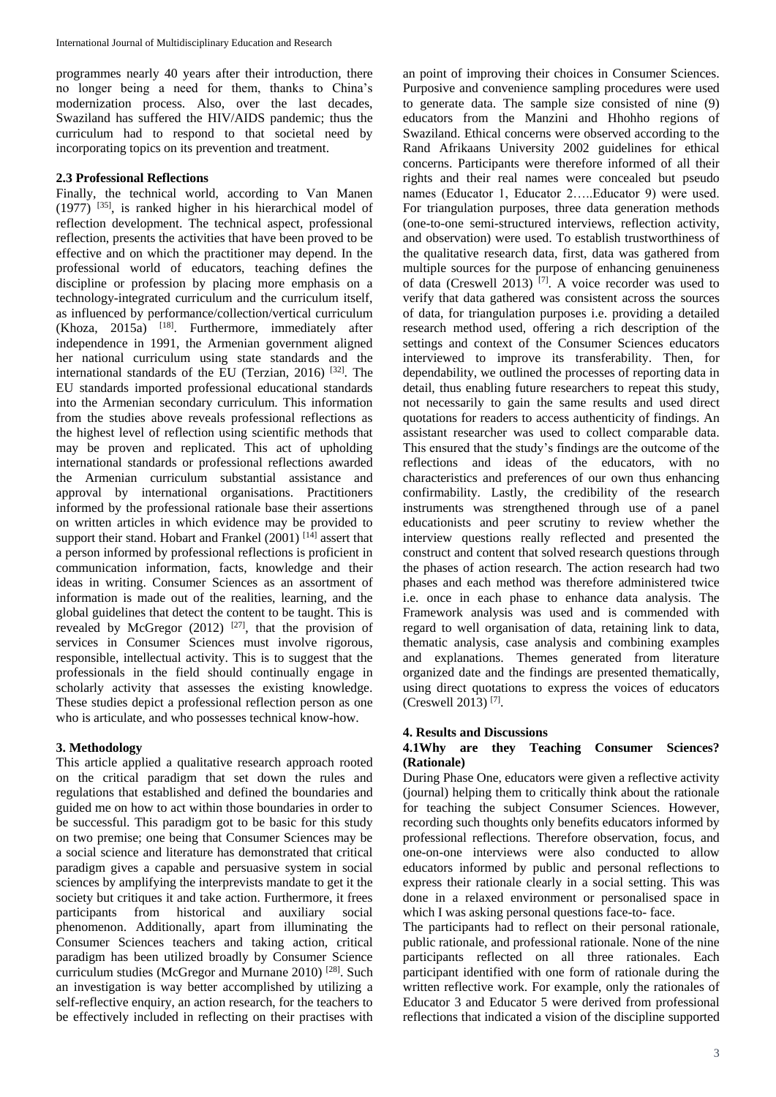programmes nearly 40 years after their introduction, there no longer being a need for them, thanks to China's modernization process. Also, over the last decades, Swaziland has suffered the HIV/AIDS pandemic; thus the curriculum had to respond to that societal need by incorporating topics on its prevention and treatment.

### **2.3 Professional Reflections**

Finally, the technical world, according to Van Manen (1977) [35], is ranked higher in his hierarchical model of reflection development. The technical aspect, professional reflection, presents the activities that have been proved to be effective and on which the practitioner may depend. In the professional world of educators, teaching defines the discipline or profession by placing more emphasis on a technology-integrated curriculum and the curriculum itself, as influenced by performance/collection/vertical curriculum  $(Khoza, 2015a)$ <sup>[18]</sup>. Furthermore, immediately after independence in 1991, the Armenian government aligned her national curriculum using state standards and the international standards of the EU (Terzian, 2016)  $^{[32]}$ . The EU standards imported professional educational standards into the Armenian secondary curriculum. This information from the studies above reveals professional reflections as the highest level of reflection using scientific methods that may be proven and replicated. This act of upholding international standards or professional reflections awarded the Armenian curriculum substantial assistance and approval by international organisations. Practitioners informed by the professional rationale base their assertions on written articles in which evidence may be provided to support their stand. Hobart and Frankel  $(2001)$ <sup>[14]</sup> assert that a person informed by professional reflections is proficient in communication information, facts, knowledge and their ideas in writing. Consumer Sciences as an assortment of information is made out of the realities, learning, and the global guidelines that detect the content to be taught. This is revealed by McGregor (2012)<sup>[27]</sup>, that the provision of services in Consumer Sciences must involve rigorous, responsible, intellectual activity. This is to suggest that the professionals in the field should continually engage in scholarly activity that assesses the existing knowledge. These studies depict a professional reflection person as one who is articulate, and who possesses technical know-how.

# **3. Methodology**

This article applied a qualitative research approach rooted on the critical paradigm that set down the rules and regulations that established and defined the boundaries and guided me on how to act within those boundaries in order to be successful. This paradigm got to be basic for this study on two premise; one being that Consumer Sciences may be a social science and literature has demonstrated that critical paradigm gives a capable and persuasive system in social sciences by amplifying the interprevists mandate to get it the society but critiques it and take action. Furthermore, it frees participants from historical and auxiliary social phenomenon. Additionally, apart from illuminating the Consumer Sciences teachers and taking action, critical paradigm has been utilized broadly by Consumer Science curriculum studies (McGregor and Murnane 2010) [28]. Such an investigation is way better accomplished by utilizing a self-reflective enquiry, an action research, for the teachers to be effectively included in reflecting on their practises with

an point of improving their choices in Consumer Sciences. Purposive and convenience sampling procedures were used to generate data. The sample size consisted of nine (9) educators from the Manzini and Hhohho regions of Swaziland. Ethical concerns were observed according to the Rand Afrikaans University 2002 guidelines for ethical concerns. Participants were therefore informed of all their rights and their real names were concealed but pseudo names (Educator 1, Educator 2…..Educator 9) were used. For triangulation purposes, three data generation methods (one-to-one semi-structured interviews, reflection activity, and observation) were used. To establish trustworthiness of the qualitative research data, first, data was gathered from multiple sources for the purpose of enhancing genuineness of data (Creswell 2013)  $^{[7]}$ . A voice recorder was used to verify that data gathered was consistent across the sources of data, for triangulation purposes i.e. providing a detailed research method used, offering a rich description of the settings and context of the Consumer Sciences educators interviewed to improve its transferability. Then, for dependability, we outlined the processes of reporting data in detail, thus enabling future researchers to repeat this study, not necessarily to gain the same results and used direct quotations for readers to access authenticity of findings. An assistant researcher was used to collect comparable data. This ensured that the study's findings are the outcome of the reflections and ideas of the educators, with no characteristics and preferences of our own thus enhancing confirmability. Lastly, the credibility of the research instruments was strengthened through use of a panel educationists and peer scrutiny to review whether the interview questions really reflected and presented the construct and content that solved research questions through the phases of action research. The action research had two phases and each method was therefore administered twice i.e. once in each phase to enhance data analysis. The Framework analysis was used and is commended with regard to well organisation of data, retaining link to data, thematic analysis, case analysis and combining examples and explanations. Themes generated from literature organized date and the findings are presented thematically, using direct quotations to express the voices of educators (Creswell 2013) [7] .

### **4. Results and Discussions**

## **4.1Why are they Teaching Consumer Sciences? (Rationale)**

During Phase One, educators were given a reflective activity (journal) helping them to critically think about the rationale for teaching the subject Consumer Sciences. However, recording such thoughts only benefits educators informed by professional reflections. Therefore observation, focus, and one-on-one interviews were also conducted to allow educators informed by public and personal reflections to express their rationale clearly in a social setting. This was done in a relaxed environment or personalised space in which I was asking personal questions face-to- face.

The participants had to reflect on their personal rationale, public rationale, and professional rationale. None of the nine participants reflected on all three rationales. Each participant identified with one form of rationale during the written reflective work. For example, only the rationales of Educator 3 and Educator 5 were derived from professional reflections that indicated a vision of the discipline supported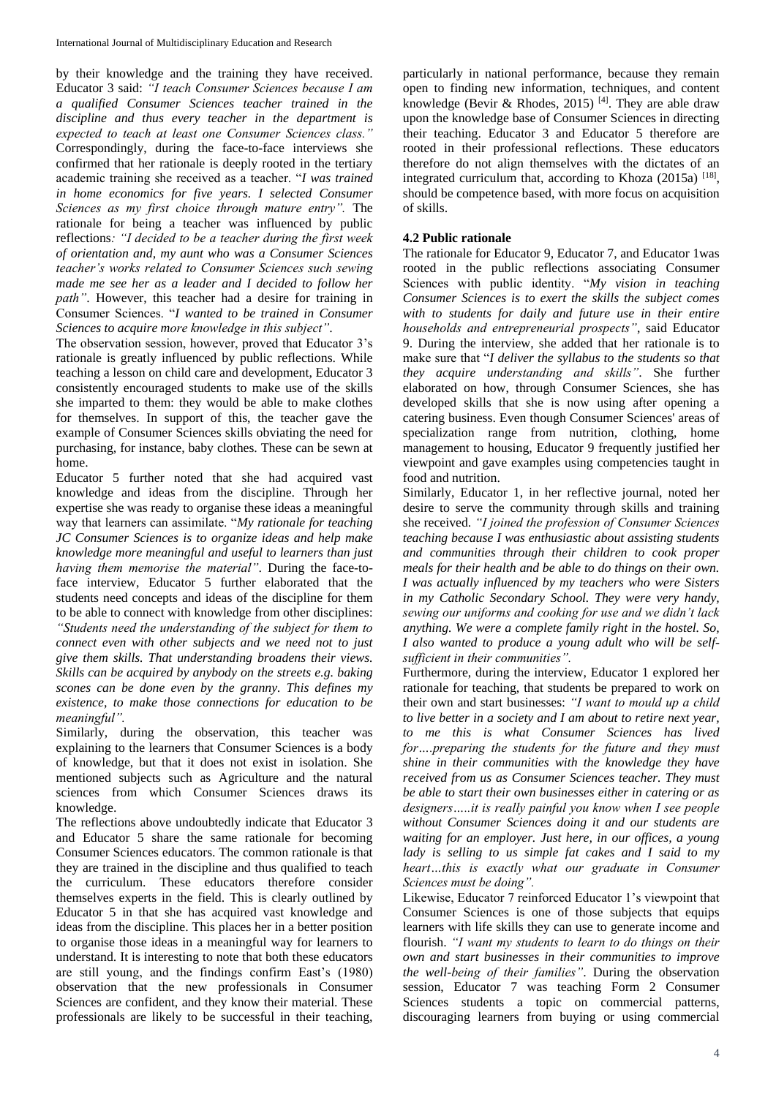by their knowledge and the training they have received. Educator 3 said: *"I teach Consumer Sciences because I am a qualified Consumer Sciences teacher trained in the discipline and thus every teacher in the department is expected to teach at least one Consumer Sciences class."*  Correspondingly, during the face-to-face interviews she confirmed that her rationale is deeply rooted in the tertiary academic training she received as a teacher. "*I was trained in home economics for five years. I selected Consumer Sciences as my first choice through mature entry".* The rationale for being a teacher was influenced by public reflections*: "I decided to be a teacher during the first week of orientation and, my aunt who was a Consumer Sciences teacher's works related to Consumer Sciences such sewing made me see her as a leader and I decided to follow her path"*. However, this teacher had a desire for training in Consumer Sciences. "*I wanted to be trained in Consumer Sciences to acquire more knowledge in this subject"*.

The observation session, however, proved that Educator 3's rationale is greatly influenced by public reflections. While teaching a lesson on child care and development, Educator 3 consistently encouraged students to make use of the skills she imparted to them: they would be able to make clothes for themselves. In support of this, the teacher gave the example of Consumer Sciences skills obviating the need for purchasing, for instance, baby clothes. These can be sewn at home.

Educator 5 further noted that she had acquired vast knowledge and ideas from the discipline. Through her expertise she was ready to organise these ideas a meaningful way that learners can assimilate. "*My rationale for teaching JC Consumer Sciences is to organize ideas and help make knowledge more meaningful and useful to learners than just having them memorise the material"*. During the face-toface interview, Educator 5 further elaborated that the students need concepts and ideas of the discipline for them to be able to connect with knowledge from other disciplines: *"Students need the understanding of the subject for them to connect even with other subjects and we need not to just give them skills. That understanding broadens their views. Skills can be acquired by anybody on the streets e.g. baking scones can be done even by the granny. This defines my existence, to make those connections for education to be meaningful".*

Similarly, during the observation, this teacher was explaining to the learners that Consumer Sciences is a body of knowledge, but that it does not exist in isolation. She mentioned subjects such as Agriculture and the natural sciences from which Consumer Sciences draws its knowledge.

The reflections above undoubtedly indicate that Educator 3 and Educator 5 share the same rationale for becoming Consumer Sciences educators. The common rationale is that they are trained in the discipline and thus qualified to teach the curriculum. These educators therefore consider themselves experts in the field. This is clearly outlined by Educator 5 in that she has acquired vast knowledge and ideas from the discipline. This places her in a better position to organise those ideas in a meaningful way for learners to understand. It is interesting to note that both these educators are still young, and the findings confirm East's (1980) observation that the new professionals in Consumer Sciences are confident, and they know their material. These professionals are likely to be successful in their teaching,

particularly in national performance, because they remain open to finding new information, techniques, and content knowledge (Bevir & Rhodes, 2015)<sup>[4]</sup>. They are able draw upon the knowledge base of Consumer Sciences in directing their teaching. Educator 3 and Educator 5 therefore are rooted in their professional reflections. These educators therefore do not align themselves with the dictates of an integrated curriculum that, according to Khoza  $(2015a)$ <sup>[18]</sup>, should be competence based, with more focus on acquisition of skills.

#### **4.2 Public rationale**

The rationale for Educator 9, Educator 7, and Educator 1was rooted in the public reflections associating Consumer Sciences with public identity. "*My vision in teaching Consumer Sciences is to exert the skills the subject comes with to students for daily and future use in their entire households and entrepreneurial prospects"*, said Educator 9. During the interview, she added that her rationale is to make sure that "*I deliver the syllabus to the students so that they acquire understanding and skills"*. She further elaborated on how, through Consumer Sciences, she has developed skills that she is now using after opening a catering business. Even though Consumer Sciences' areas of specialization range from nutrition, clothing, home management to housing, Educator 9 frequently justified her viewpoint and gave examples using competencies taught in food and nutrition.

Similarly, Educator 1, in her reflective journal, noted her desire to serve the community through skills and training she received. *"I joined the profession of Consumer Sciences teaching because I was enthusiastic about assisting students and communities through their children to cook proper meals for their health and be able to do things on their own. I was actually influenced by my teachers who were Sisters in my Catholic Secondary School. They were very handy, sewing our uniforms and cooking for use and we didn't lack anything. We were a complete family right in the hostel. So, I also wanted to produce a young adult who will be selfsufficient in their communities".*

Furthermore, during the interview, Educator 1 explored her rationale for teaching, that students be prepared to work on their own and start businesses: *"I want to mould up a child to live better in a society and I am about to retire next year, to me this is what Consumer Sciences has lived for….preparing the students for the future and they must shine in their communities with the knowledge they have received from us as Consumer Sciences teacher. They must be able to start their own businesses either in catering or as designers…..it is really painful you know when I see people without Consumer Sciences doing it and our students are waiting for an employer. Just here, in our offices, a young lady is selling to us simple fat cakes and I said to my heart…this is exactly what our graduate in Consumer Sciences must be doing".*

Likewise, Educator 7 reinforced Educator 1's viewpoint that Consumer Sciences is one of those subjects that equips learners with life skills they can use to generate income and flourish. *"I want my students to learn to do things on their own and start businesses in their communities to improve the well-being of their families"*. During the observation session, Educator 7 was teaching Form 2 Consumer Sciences students a topic on commercial patterns, discouraging learners from buying or using commercial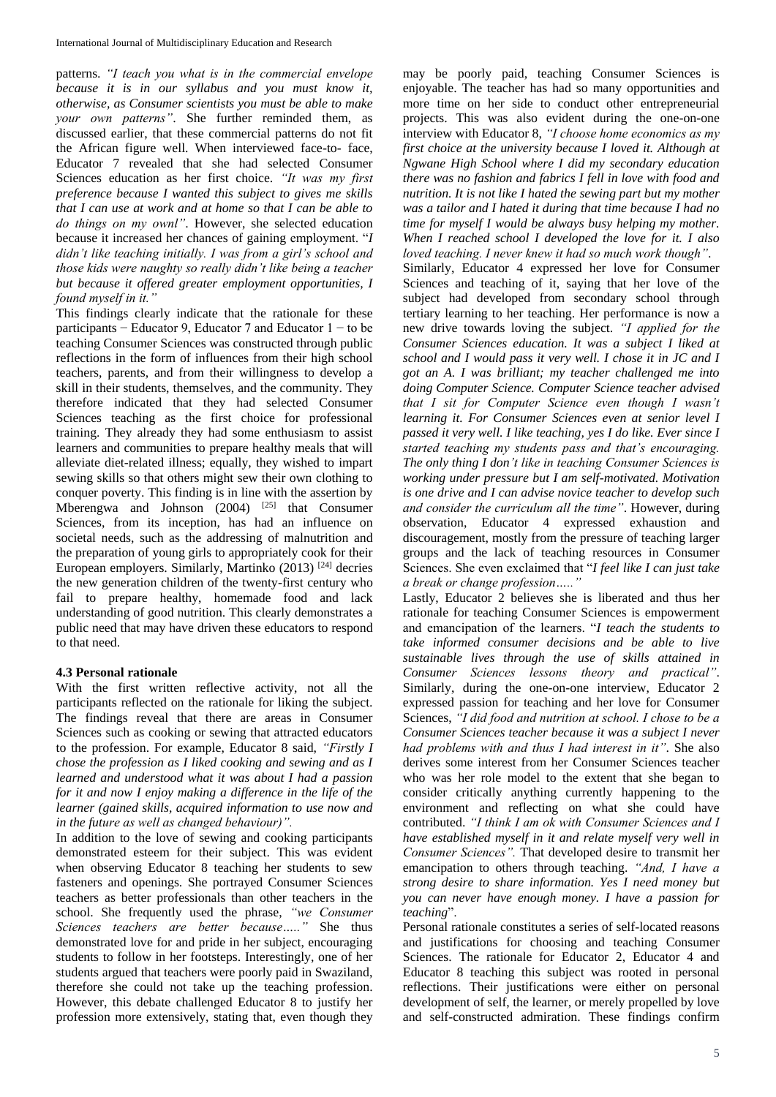patterns. *"I teach you what is in the commercial envelope because it is in our syllabus and you must know it, otherwise, as Consumer scientists you must be able to make your own patterns"*. She further reminded them, as discussed earlier, that these commercial patterns do not fit the African figure well. When interviewed face-to- face, Educator 7 revealed that she had selected Consumer Sciences education as her first choice. *"It was my first preference because I wanted this subject to gives me skills that I can use at work and at home so that I can be able to do things on my ownl"*. However, she selected education because it increased her chances of gaining employment. "*I didn't like teaching initially. I was from a girl's school and those kids were naughty so really didn't like being a teacher but because it offered greater employment opportunities, I found myself in it."*

This findings clearly indicate that the rationale for these participants − Educator 9, Educator 7 and Educator 1 − to be teaching Consumer Sciences was constructed through public reflections in the form of influences from their high school teachers, parents, and from their willingness to develop a skill in their students, themselves, and the community. They therefore indicated that they had selected Consumer Sciences teaching as the first choice for professional training. They already they had some enthusiasm to assist learners and communities to prepare healthy meals that will alleviate diet-related illness; equally, they wished to impart sewing skills so that others might sew their own clothing to conquer poverty. This finding is in line with the assertion by Mberengwa and Johnson  $(2004)$  <sup>[25]</sup> that Consumer Sciences, from its inception, has had an influence on societal needs, such as the addressing of malnutrition and the preparation of young girls to appropriately cook for their European employers. Similarly, Martinko  $(2013)$ <sup>[24]</sup> decries the new generation children of the twenty-first century who fail to prepare healthy, homemade food and lack understanding of good nutrition. This clearly demonstrates a public need that may have driven these educators to respond to that need.

### **4.3 Personal rationale**

With the first written reflective activity, not all the participants reflected on the rationale for liking the subject. The findings reveal that there are areas in Consumer Sciences such as cooking or sewing that attracted educators to the profession. For example, Educator 8 said, *"Firstly I chose the profession as I liked cooking and sewing and as I learned and understood what it was about I had a passion for it and now I enjoy making a difference in the life of the learner (gained skills, acquired information to use now and in the future as well as changed behaviour)".*

In addition to the love of sewing and cooking participants demonstrated esteem for their subject. This was evident when observing Educator 8 teaching her students to sew fasteners and openings. She portrayed Consumer Sciences teachers as better professionals than other teachers in the school. She frequently used the phrase, *"we Consumer Sciences teachers are better because….."* She thus demonstrated love for and pride in her subject, encouraging students to follow in her footsteps. Interestingly, one of her students argued that teachers were poorly paid in Swaziland, therefore she could not take up the teaching profession. However, this debate challenged Educator 8 to justify her profession more extensively, stating that, even though they

may be poorly paid, teaching Consumer Sciences is enjoyable. The teacher has had so many opportunities and more time on her side to conduct other entrepreneurial projects. This was also evident during the one-on-one interview with Educator 8, *"I choose home economics as my first choice at the university because I loved it. Although at Ngwane High School where I did my secondary education there was no fashion and fabrics I fell in love with food and nutrition. It is not like I hated the sewing part but my mother was a tailor and I hated it during that time because I had no time for myself I would be always busy helping my mother. When I reached school I developed the love for it. I also loved teaching. I never knew it had so much work though"*.

Similarly, Educator 4 expressed her love for Consumer Sciences and teaching of it, saying that her love of the subject had developed from secondary school through tertiary learning to her teaching. Her performance is now a new drive towards loving the subject. *"I applied for the Consumer Sciences education. It was a subject I liked at school and I would pass it very well. I chose it in JC and I got an A. I was brilliant; my teacher challenged me into doing Computer Science. Computer Science teacher advised that I sit for Computer Science even though I wasn't learning it. For Consumer Sciences even at senior level I passed it very well. I like teaching, yes I do like. Ever since I started teaching my students pass and that's encouraging. The only thing I don't like in teaching Consumer Sciences is working under pressure but I am self-motivated. Motivation is one drive and I can advise novice teacher to develop such and consider the curriculum all the time"*. However, during observation, Educator 4 expressed exhaustion and discouragement, mostly from the pressure of teaching larger groups and the lack of teaching resources in Consumer Sciences. She even exclaimed that "*I feel like I can just take a break or change profession….."*

Lastly, Educator 2 believes she is liberated and thus her rationale for teaching Consumer Sciences is empowerment and emancipation of the learners. "*I teach the students to take informed consumer decisions and be able to live sustainable lives through the use of skills attained in Consumer Sciences lessons theory and practical"*. Similarly, during the one-on-one interview, Educator 2 expressed passion for teaching and her love for Consumer Sciences, *"I did food and nutrition at school. I chose to be a Consumer Sciences teacher because it was a subject I never had problems with and thus I had interest in it"*. She also derives some interest from her Consumer Sciences teacher who was her role model to the extent that she began to consider critically anything currently happening to the environment and reflecting on what she could have contributed. *"I think I am ok with Consumer Sciences and I have established myself in it and relate myself very well in Consumer Sciences".* That developed desire to transmit her emancipation to others through teaching. *"And, I have a strong desire to share information. Yes I need money but you can never have enough money. I have a passion for teaching*".

Personal rationale constitutes a series of self-located reasons and justifications for choosing and teaching Consumer Sciences. The rationale for Educator 2, Educator 4 and Educator 8 teaching this subject was rooted in personal reflections. Their justifications were either on personal development of self, the learner, or merely propelled by love and self-constructed admiration. These findings confirm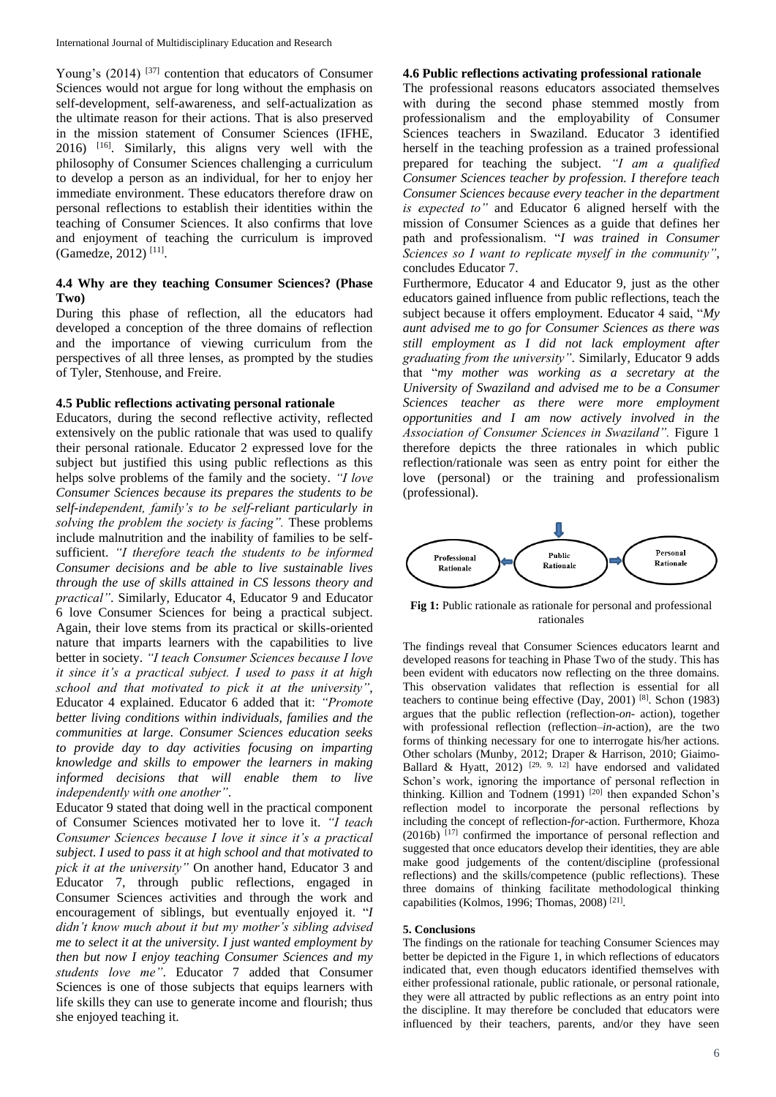Young's (2014) [37] contention that educators of Consumer Sciences would not argue for long without the emphasis on self-development, self-awareness, and self-actualization as the ultimate reason for their actions. That is also preserved in the mission statement of Consumer Sciences (IFHE, 2016) [16]. Similarly, this aligns very well with the philosophy of Consumer Sciences challenging a curriculum to develop a person as an individual, for her to enjoy her immediate environment. These educators therefore draw on personal reflections to establish their identities within the teaching of Consumer Sciences. It also confirms that love and enjoyment of teaching the curriculum is improved (Gamedze, 2012) [11] .

### **4.4 Why are they teaching Consumer Sciences? (Phase Two)**

During this phase of reflection, all the educators had developed a conception of the three domains of reflection and the importance of viewing curriculum from the perspectives of all three lenses, as prompted by the studies of Tyler, Stenhouse, and Freire.

#### **4.5 Public reflections activating personal rationale**

Educators, during the second reflective activity, reflected extensively on the public rationale that was used to qualify their personal rationale. Educator 2 expressed love for the subject but justified this using public reflections as this helps solve problems of the family and the society. *"I love Consumer Sciences because its prepares the students to be self-independent, family's to be self-reliant particularly in solving the problem the society is facing".* These problems include malnutrition and the inability of families to be selfsufficient. *"I therefore teach the students to be informed Consumer decisions and be able to live sustainable lives through the use of skills attained in CS lessons theory and practical"*. Similarly, Educator 4, Educator 9 and Educator 6 love Consumer Sciences for being a practical subject. Again, their love stems from its practical or skills-oriented nature that imparts learners with the capabilities to live better in society. *"I teach Consumer Sciences because I love it since it's a practical subject. I used to pass it at high school and that motivated to pick it at the university"*, Educator 4 explained. Educator 6 added that it: *"Promote better living conditions within individuals, families and the communities at large. Consumer Sciences education seeks to provide day to day activities focusing on imparting knowledge and skills to empower the learners in making informed decisions that will enable them to live independently with one another"*.

Educator 9 stated that doing well in the practical component of Consumer Sciences motivated her to love it. *"I teach Consumer Sciences because I love it since it's a practical subject. I used to pass it at high school and that motivated to pick it at the university"* On another hand, Educator 3 and Educator 7, through public reflections, engaged in Consumer Sciences activities and through the work and encouragement of siblings, but eventually enjoyed it. "*I didn't know much about it but my mother's sibling advised me to select it at the university. I just wanted employment by then but now I enjoy teaching Consumer Sciences and my students love me"*. Educator 7 added that Consumer Sciences is one of those subjects that equips learners with life skills they can use to generate income and flourish; thus she enjoyed teaching it.

#### **4.6 Public reflections activating professional rationale**

The professional reasons educators associated themselves with during the second phase stemmed mostly from professionalism and the employability of Consumer Sciences teachers in Swaziland. Educator 3 identified herself in the teaching profession as a trained professional prepared for teaching the subject. *"I am a qualified Consumer Sciences teacher by profession. I therefore teach Consumer Sciences because every teacher in the department is expected to"* and Educator 6 aligned herself with the mission of Consumer Sciences as a guide that defines her path and professionalism. "*I was trained in Consumer Sciences so I want to replicate myself in the community"*, concludes Educator 7.

Furthermore, Educator 4 and Educator 9, just as the other educators gained influence from public reflections, teach the subject because it offers employment. Educator 4 said, "*My aunt advised me to go for Consumer Sciences as there was still employment as I did not lack employment after graduating from the university"*. Similarly, Educator 9 adds that "*my mother was working as a secretary at the University of Swaziland and advised me to be a Consumer Sciences teacher as there were more employment opportunities and I am now actively involved in the Association of Consumer Sciences in Swaziland".* Figure 1 therefore depicts the three rationales in which public reflection/rationale was seen as entry point for either the love (personal) or the training and professionalism (professional).



Fig 1: Public rationale as rationale for personal and professional rationales

The findings reveal that Consumer Sciences educators learnt and developed reasons for teaching in Phase Two of the study. This has been evident with educators now reflecting on the three domains. This observation validates that reflection is essential for all teachers to continue being effective (Day, 2001) [8]. Schon (1983) argues that the public reflection (reflection-*on*- action), together with professional reflection (reflection–*in*-action), are the two forms of thinking necessary for one to interrogate his/her actions. Other scholars (Munby, 2012; Draper & Harrison, 2010; Giaimo-Ballard & Hyatt,  $2012$ )  $[29, 9, 12]$  have endorsed and validated Schon's work, ignoring the importance of personal reflection in thinking. Killion and Todnem  $(1991)$   $[20]$  then expanded Schon's reflection model to incorporate the personal reflections by including the concept of reflection-*for*-action. Furthermore, Khoza (2016b) [17] confirmed the importance of personal reflection and suggested that once educators develop their identities, they are able make good judgements of the content/discipline (professional reflections) and the skills/competence (public reflections). These three domains of thinking facilitate methodological thinking capabilities (Kolmos, 1996; Thomas, 2008)<sup>[21]</sup>.

#### **5. Conclusions**

The findings on the rationale for teaching Consumer Sciences may better be depicted in the Figure 1, in which reflections of educators indicated that, even though educators identified themselves with either professional rationale, public rationale, or personal rationale, they were all attracted by public reflections as an entry point into the discipline. It may therefore be concluded that educators were influenced by their teachers, parents, and/or they have seen